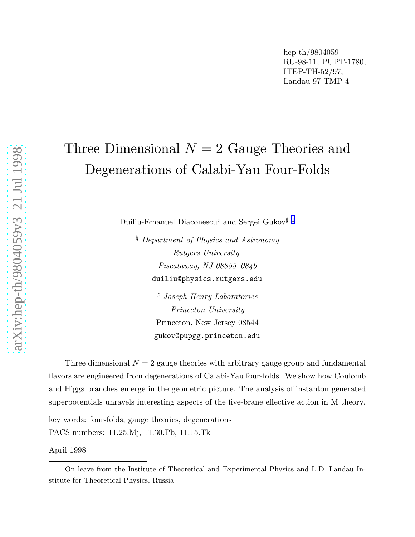# Three Dimensional  $N=2$  Gauge Theories and Degenerations of Calabi-Yau Four-Folds

Duiliu-Emanuel Diaconescu<sup> $\natural$ </sup> and Sergei Gukov<sup>‡ 1</sup>

 $\Box$  Department of Physics and Astronomy Rutgers University Piscataway, NJ 08855–0849 duiliu@physics.rutgers.edu

> <sup>♯</sup> Joseph Henry Laboratories Princeton University Princeton, New Jersey 08544 gukov@pupgg.princeton.edu

Three dimensional  $N = 2$  gauge theories with arbitrary gauge group and fundamental flavors are engineered from degenerations of Calabi-Yau four-folds. We show how Coulomb and Higgs branches emerge in the geometric picture. The analysis of instanton generated superpotentials unravels interesting aspects of the five-brane effective action in M theory.

key words: four-folds, gauge theories, degenerations PACS numbers: 11.25.Mj, 11.30.Pb, 11.15.Tk

April 1998

 $1$  On leave from the Institute of Theoretical and Experimental Physics and L.D. Landau Institute for Theoretical Physics, Russia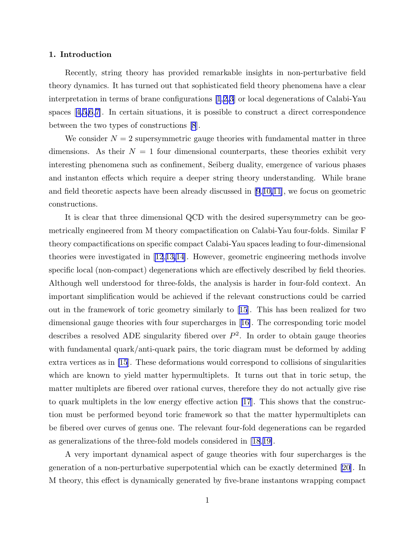#### 1. Introduction

Recently, string theory has provided remarkable insights in non-perturbative field theory dynamics. It has turned out that sophisticated field theory phenomena have a clear interpretation in terms of brane configurations [\[1](#page-29-0),[2,3\]](#page-29-0) or local degenerations of Calabi-Yau spaces $[4,5,6,7]$  $[4,5,6,7]$  $[4,5,6,7]$  $[4,5,6,7]$ . In certain situations, it is possible to construct a direct correspondence between the two types of constructions [\[8](#page-29-0)].

We consider  $N = 2$  supersymmetric gauge theories with fundamental matter in three dimensions. As their  $N = 1$  four dimensional counterparts, these theories exhibit very interesting phenomena such as confinement, Seiberg duality, emergence of various phases and instanton effects which require a deeper string theory understanding. While brane and field theoretic aspects have been already discussed in [\[9](#page-29-0),[10,11\]](#page-29-0), we focus on geometric constructions.

It is clear that three dimensional QCD with the desired supersymmetry can be geometrically engineered from M theory compactification on Calabi-Yau four-folds. Similar F theory compactifications on specific compact Calabi-Yau spaces leading to four-dimensional theories were investigated in [\[12](#page-29-0),[13,14\]](#page-29-0). However, geometric engineering methods involve specific local (non-compact) degenerations which are effectively described by field theories. Although well understood for three-folds, the analysis is harder in four-fold context. An important simplification would be achieved if the relevant constructions could be carried out in the framework of toric geometry similarly to [\[15](#page-29-0)]. This has been realized for two dimensional gauge theories with four supercharges in[[16\]](#page-29-0). The corresponding toric model describes a resolved ADE singularity fibered over  $P^2$ . In order to obtain gauge theories with fundamental quark/anti-quark pairs, the toric diagram must be deformed by adding extra vertices as in [\[15](#page-29-0)]. These deformations would correspond to collisions of singularities which are known to yield matter hypermultiplets. It turns out that in toric setup, the matter multiplets are fibered over rational curves, therefore they do not actually give rise to quark multiplets in the low energy effective action [\[17](#page-29-0)]. This shows that the construction must be performed beyond toric framework so that the matter hypermultiplets can be fibered over curves of genus one. The relevant four-fold degenerations can be regarded as generalizations of the three-fold models considered in [\[18](#page-29-0),[19\]](#page-30-0).

A very important dynamical aspect of gauge theories with four supercharges is the generation of a non-perturbative superpotential which can be exactly determined[[20\]](#page-30-0). In M theory, this effect is dynamically generated by five-brane instantons wrapping compact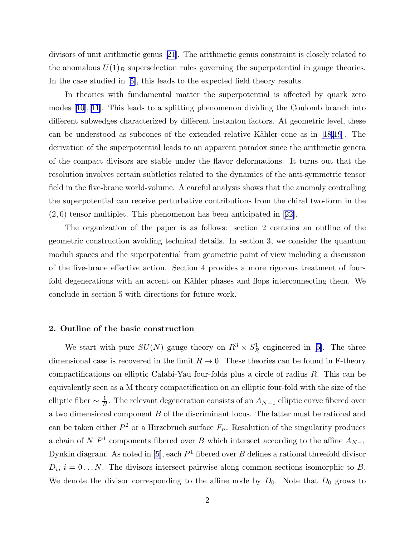divisors of unit arithmetic genus[[21\]](#page-30-0). The arithmetic genus constraint is closely related to the anomalous  $U(1)<sub>R</sub>$  superselection rules governing the superpotential in gauge theories. In the case studied in[[5](#page-29-0)], this leads to the expected field theory results.

In theories with fundamental matter the superpotential is affected by quark zero modes[[10\]](#page-29-0),[[11\]](#page-29-0). This leads to a splitting phenomenon dividing the Coulomb branch into different subwedges characterized by different instanton factors. At geometric level, these can be understood as subcones of the extended relative Kähler cone as in  $[18,19]$  $[18,19]$  $[18,19]$ . The derivation of the superpotential leads to an apparent paradox since the arithmetic genera of the compact divisors are stable under the flavor deformations. It turns out that the resolution involves certain subtleties related to the dynamics of the anti-symmetric tensor field in the five-brane world-volume. A careful analysis shows that the anomaly controlling the superpotential can receive perturbative contributions from the chiral two-form in the (2, 0) tensor multiplet. This phenomenon has been anticipated in[[22\]](#page-30-0).

The organization of the paper is as follows: section 2 contains an outline of the geometric construction avoiding technical details. In section 3, we consider the quantum moduli spaces and the superpotential from geometric point of view including a discussion of the five-brane effective action. Section 4 provides a more rigorous treatment of fourfold degenerations with an accent on Kähler phases and flops interconnecting them. We conclude in section 5 with directions for future work.

#### 2. Outline of the basic construction

Westart with pure  $SU(N)$  gauge theory on  $R^3 \times S_R^1$  engineered in [[5\]](#page-29-0). The three dimensional case is recovered in the limit  $R \to 0$ . These theories can be found in F-theory compactifications on elliptic Calabi-Yau four-folds plus a circle of radius R. This can be equivalently seen as a M theory compactification on an elliptic four-fold with the size of the elliptic fiber  $\sim \frac{1}{R}$  $\frac{1}{R}$ . The relevant degeneration consists of an  $A_{N-1}$  elliptic curve fibered over a two dimensional component  $B$  of the discriminant locus. The latter must be rational and can be taken either  $P^2$  or a Hirzebruch surface  $F_n$ . Resolution of the singularity produces a chain of N  $P<sup>1</sup>$  components fibered over B which intersect according to the affine  $A_{N-1}$ Dynkindiagram. As noted in [[5\]](#page-29-0), each  $P^1$  fibered over B defines a rational threefold divisor  $D_i$ ,  $i = 0...N$ . The divisors intersect pairwise along common sections isomorphic to B. We denote the divisor corresponding to the affine node by  $D_0$ . Note that  $D_0$  grows to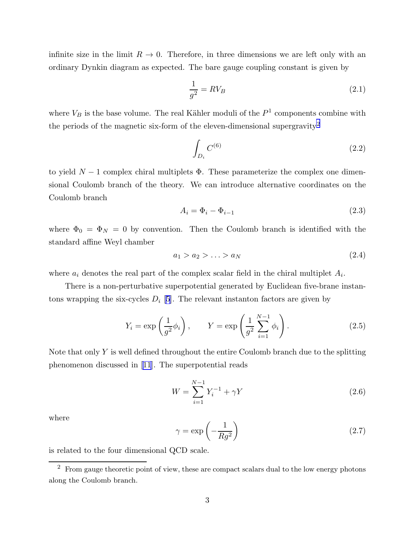<span id="page-3-0"></span>infinite size in the limit  $R \to 0$ . Therefore, in three dimensions we are left only with an ordinary Dynkin diagram as expected. The bare gauge coupling constant is given by

$$
\frac{1}{g^2} = RV_B \tag{2.1}
$$

where  $V_B$  is the base volume. The real Kähler moduli of the  $P<sup>1</sup>$  components combine with the periods of the magnetic six-form of the eleven-dimensional supergravity<sup>2</sup>

$$
\int_{D_i} C^{(6)} \tag{2.2}
$$

to yield  $N-1$  complex chiral multiplets  $\Phi$ . These parameterize the complex one dimensional Coulomb branch of the theory. We can introduce alternative coordinates on the Coulomb branch

$$
A_i = \Phi_i - \Phi_{i-1} \tag{2.3}
$$

where  $\Phi_0 = \Phi_N = 0$  by convention. Then the Coulomb branch is identified with the standard affine Weyl chamber

$$
a_1 > a_2 > \ldots > a_N \tag{2.4}
$$

where  $a_i$  denotes the real part of the complex scalar field in the chiral multiplet  $A_i$ .

There is a non-perturbative superpotential generated by Euclidean five-brane instantons wrapping the six-cycles  $D_i$  [[5\]](#page-29-0). The relevant instanton factors are given by

$$
Y_i = \exp\left(\frac{1}{g^2}\phi_i\right), \qquad Y = \exp\left(\frac{1}{g^2}\sum_{i=1}^{N-1}\phi_i\right). \tag{2.5}
$$

Note that only  $Y$  is well defined throughout the entire Coulomb branch due to the splitting phenomenon discussed in [\[11](#page-29-0)]. The superpotential reads

$$
W = \sum_{i=1}^{N-1} Y_i^{-1} + \gamma Y \tag{2.6}
$$

where

$$
\gamma = \exp\left(-\frac{1}{Rg^2}\right) \tag{2.7}
$$

is related to the four dimensional QCD scale.

 $2\;$  From gauge theoretic point of view, these are compact scalars dual to the low energy photons along the Coulomb branch.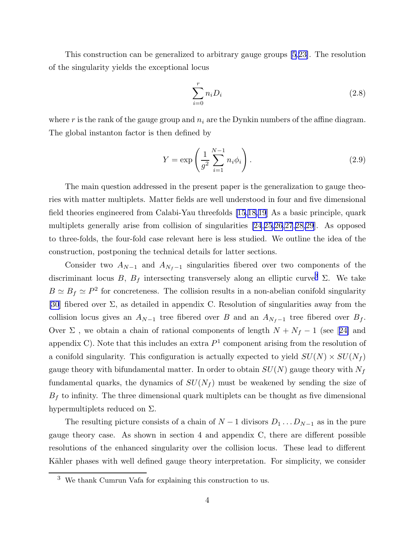This construction can be generalized to arbitrary gauge groups [\[5](#page-29-0),[23\]](#page-30-0). The resolution of the singularity yields the exceptional locus

$$
\sum_{i=0}^{r} n_i D_i \tag{2.8}
$$

where r is the rank of the gauge group and  $n_i$  are the Dynkin numbers of the affine diagram. The global instanton factor is then defined by

$$
Y = \exp\left(\frac{1}{g^2} \sum_{i=1}^{N-1} n_i \phi_i\right). \tag{2.9}
$$

The main question addressed in the present paper is the generalization to gauge theories with matter multiplets. Matter fields are well understood in four and five dimensional field theories engineered from Calabi-Yau threefolds [\[15](#page-29-0),[18,](#page-29-0)[19](#page-30-0)] As a basic principle, quark multiplets generally arise from collision of singularities [\[24](#page-30-0),[25,26,27](#page-30-0),[28,29](#page-30-0)]. As opposed to three-folds, the four-fold case relevant here is less studied. We outline the idea of the construction, postponing the technical details for latter sections.

Consider two  $A_{N-1}$  and  $A_{N_f-1}$  singularities fibered over two components of the discriminant locus B,  $B_f$  intersecting transversely along an elliptic curve<sup>3</sup> Σ. We take  $B \simeq B_f \simeq P^2$  for concreteness. The collision results in a non-abelian conifold singularity [\[30](#page-30-0)] fibered over  $\Sigma$ , as detailed in appendix C. Resolution of singularities away from the collision locus gives an  $A_{N-1}$  tree fibered over B and an  $A_{N_f-1}$  tree fibered over  $B_f$ . Over $\Sigma$ , we obtain a chain of rational components of length  $N + N_f - 1$  (see [[24\]](#page-30-0) and appendix C). Note that this includes an extra  $P<sup>1</sup>$  component arising from the resolution of a conifold singularity. This configuration is actually expected to yield  $SU(N) \times SU(N_f)$ gauge theory with bifundamental matter. In order to obtain  $SU(N)$  gauge theory with  $N_f$ fundamental quarks, the dynamics of  $SU(N_f)$  must be weakened by sending the size of  $B_f$  to infinity. The three dimensional quark multiplets can be thought as five dimensional hypermultiplets reduced on Σ.

The resulting picture consists of a chain of  $N-1$  divisors  $D_1 \ldots D_{N-1}$  as in the pure gauge theory case. As shown in section 4 and appendix C, there are different possible resolutions of the enhanced singularity over the collision locus. These lead to different Kähler phases with well defined gauge theory interpretation. For simplicity, we consider

<sup>3</sup> We thank Cumrun Vafa for explaining this construction to us.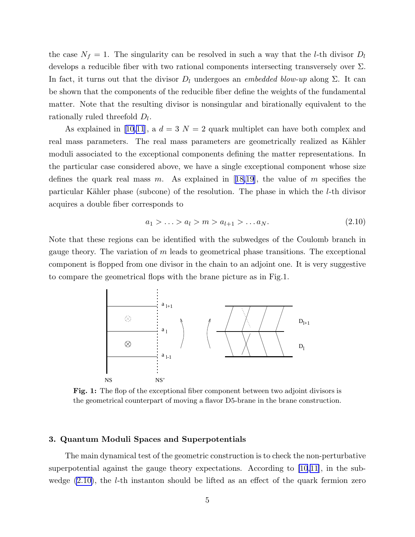<span id="page-5-0"></span>the case  $N_f = 1$ . The singularity can be resolved in such a way that the *l*-th divisor  $D_l$ develops a reducible fiber with two rational components intersecting transversely over  $\Sigma$ . In fact, it turns out that the divisor  $D_l$  undergoes an *embedded blow-up* along  $\Sigma$ . It can be shown that the components of the reducible fiber define the weights of the fundamental matter. Note that the resulting divisor is nonsingular and birationally equivalent to the rationally ruled threefold  $D_l$ .

Asexplained in [[10,11](#page-29-0)], a  $d = 3$   $N = 2$  quark multiplet can have both complex and real mass parameters. The real mass parameters are geometrically realized as Kähler moduli associated to the exceptional components defining the matter representations. In the particular case considered above, we have a single exceptional component whose size definesthe quark real mass m. As explained in [[18,](#page-29-0)[19\]](#page-30-0), the value of m specifies the particular Kähler phase (subcone) of the resolution. The phase in which the  $l$ -th divisor acquires a double fiber corresponds to

$$
a_1 > \ldots > a_l > m > a_{l+1} > \ldots a_N. \tag{2.10}
$$

Note that these regions can be identified with the subwedges of the Coulomb branch in gauge theory. The variation of  $m$  leads to geometrical phase transitions. The exceptional component is flopped from one divisor in the chain to an adjoint one. It is very suggestive to compare the geometrical flops with the brane picture as in Fig.1.



Fig. 1: The flop of the exceptional fiber component between two adjoint divisors is the geometrical counterpart of moving a flavor D5-brane in the brane construction.

#### 3. Quantum Moduli Spaces and Superpotentials

The main dynamical test of the geometric construction is to check the non-perturbative superpotential against the gauge theory expectations. According to [\[10](#page-29-0),[11\]](#page-29-0), in the subwedge  $(2.10)$ , the *l*-th instanton should be lifted as an effect of the quark fermion zero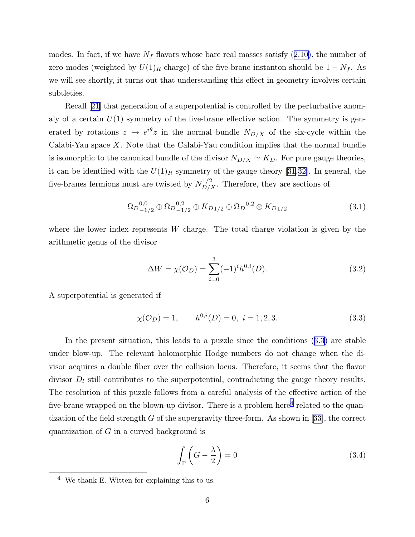<span id="page-6-0"></span>modes.In fact, if we have  $N_f$  flavors whose bare real masses satisfy  $(2.10)$  $(2.10)$ , the number of zero modes (weighted by  $U(1)_R$  charge) of the five-brane instanton should be  $1 - N_f$ . As we will see shortly, it turns out that understanding this effect in geometry involves certain subtleties.

Recall[[21\]](#page-30-0) that generation of a superpotential is controlled by the perturbative anomaly of a certain  $U(1)$  symmetry of the five-brane effective action. The symmetry is generated by rotations  $z \to e^{i\theta} z$  in the normal bundle  $N_{D/X}$  of the six-cycle within the Calabi-Yau space  $X$ . Note that the Calabi-Yau condition implies that the normal bundle is isomorphic to the canonical bundle of the divisor  $N_{D/X} \simeq K_D$ . For pure gauge theories, it can be identified with the  $U(1)_R$  symmetry of the gauge theory [\[31](#page-30-0),[32\]](#page-30-0). In general, the five-branes fermions must are twisted by  $N_{D/X}^{1/2}$ . Therefore, they are sections of

$$
\Omega_{D-1/2}^{0,0} \oplus \Omega_{D-1/2}^{0,2} \oplus K_{D1/2} \oplus \Omega_{D}^{0,2} \otimes K_{D1/2}
$$
 (3.1)

where the lower index represents W charge. The total charge violation is given by the arithmetic genus of the divisor

$$
\Delta W = \chi(\mathcal{O}_D) = \sum_{i=0}^{3} (-1)^i h^{0,i}(D). \tag{3.2}
$$

A superpotential is generated if

 $\chi(\mathcal{O}_D) = 1, \qquad h^{0,i}(D) = 0, \ i = 1, 2, 3.$  (3.3)

In the present situation, this leads to a puzzle since the conditions (3.3) are stable under blow-up. The relevant holomorphic Hodge numbers do not change when the divisor acquires a double fiber over the collision locus. Therefore, it seems that the flavor divisor  $D_l$  still contributes to the superpotential, contradicting the gauge theory results. The resolution of this puzzle follows from a careful analysis of the effective action of the five-brane wrapped on the blown-up divisor. There is a problem here<sup>4</sup> related to the quantizationof the field strength  $G$  of the supergravity three-form. As shown in [[33\]](#page-30-0), the correct quantization of G in a curved background is

$$
\int_{\Gamma} \left( G - \frac{\lambda}{2} \right) = 0 \tag{3.4}
$$

 $4$  We thank E. Witten for explaining this to us.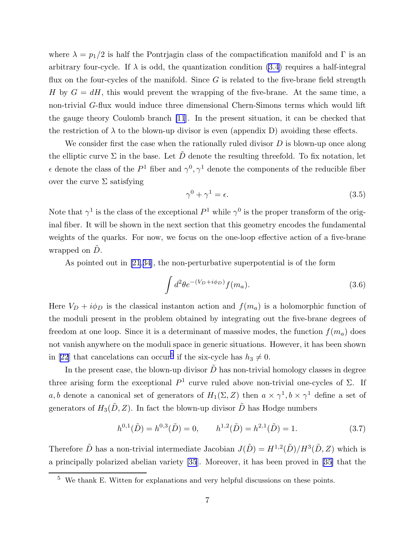where  $\lambda = p_1/2$  is half the Pontrjagin class of the compactification manifold and Γ is an arbitrary four-cycle. If  $\lambda$  is odd, the quantization condition [\(3.4\)](#page-6-0) requires a half-integral flux on the four-cycles of the manifold. Since  $G$  is related to the five-brane field strength H by  $G = dH$ , this would prevent the wrapping of the five-brane. At the same time, a non-trivial G-flux would induce three dimensional Chern-Simons terms which would lift the gauge theory Coulomb branch [\[11](#page-29-0)]. In the present situation, it can be checked that the restriction of  $\lambda$  to the blown-up divisor is even (appendix D) avoiding these effects.

We consider first the case when the rationally ruled divisor  $D$  is blown-up once along the elliptic curve  $\Sigma$  in the base. Let  $\tilde{D}$  denote the resulting threefold. To fix notation, let  $\epsilon$  denote the class of the  $P^1$  fiber and  $\gamma^0$ ,  $\gamma^1$  denote the components of the reducible fiber over the curve  $\Sigma$  satisfying

$$
\gamma^0 + \gamma^1 = \epsilon. \tag{3.5}
$$

Note that  $\gamma^1$  is the class of the exceptional  $P^1$  while  $\gamma^0$  is the proper transform of the original fiber. It will be shown in the next section that this geometry encodes the fundamental weights of the quarks. For now, we focus on the one-loop effective action of a five-brane wrapped on  $\ddot{D}$ .

As pointed out in [\[21](#page-30-0),[34\]](#page-30-0), the non-perturbative superpotential is of the form

$$
\int d^2\theta e^{-(V_D + i\phi_D)} f(m_a). \tag{3.6}
$$

Here  $V_D + i\phi_D$  is the classical instanton action and  $f(m_a)$  is a holomorphic function of the moduli present in the problem obtained by integrating out the five-brane degrees of freedom at one loop. Since it is a determinant of massive modes, the function  $f(m_a)$  does not vanish anywhere on the moduli space in generic situations. However, it has been shown in [\[22](#page-30-0)] that cancelations can occur<sup>5</sup> if the six-cycle has  $h_3 \neq 0$ .

In the present case, the blown-up divisor  $\tilde{D}$  has non-trivial homology classes in degree three arising form the exceptional  $P^1$  curve ruled above non-trivial one-cycles of  $\Sigma$ . If a, b denote a canonical set of generators of  $H_1(\Sigma, Z)$  then  $a \times \gamma^1$ ,  $b \times \gamma^1$  define a set of generators of  $H_3(D, Z)$ . In fact the blown-up divisor  $\tilde{D}$  has Hodge numbers

$$
h^{0,1}(\tilde{D}) = h^{0,3}(\tilde{D}) = 0, \qquad h^{1,2}(\tilde{D}) = h^{2,1}(\tilde{D}) = 1.
$$
 (3.7)

Therefore  $\tilde{D}$  has a non-trivial intermediate Jacobian  $J(\tilde{D}) = H^{1,2}(\tilde{D})/H^3(\tilde{D}, Z)$  which is a principally polarized abelian variety [\[35](#page-30-0)]. Moreover, it has been proved in[[35\]](#page-30-0) that the

<sup>5</sup> We thank E. Witten for explanations and very helpful discussions on these points.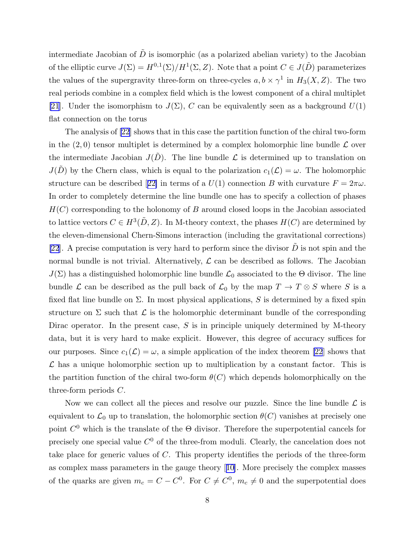intermediate Jacobian of  $\tilde{D}$  is isomorphic (as a polarized abelian variety) to the Jacobian of the elliptic curve  $J(\Sigma) = H^{0,1}(\Sigma)/H^1(\Sigma, Z)$ . Note that a point  $C \in J(\tilde{D})$  parameterizes the values of the supergravity three-form on three-cycles  $a, b \times \gamma^1$  in  $H_3(X, Z)$ . The two real periods combine in a complex field which is the lowest component of a chiral multiplet [\[21](#page-30-0)]. Under the isomorphism to  $J(\Sigma)$ , C can be equivalently seen as a background  $U(1)$ flat connection on the torus

The analysis of [\[22](#page-30-0)] shows that in this case the partition function of the chiral two-form in the  $(2,0)$  tensor multiplet is determined by a complex holomorphic line bundle  $\mathcal L$  over the intermediate Jacobian  $J(\tilde{D})$ . The line bundle  $\mathcal L$  is determined up to translation on  $J(\tilde{D})$  by the Chern class, which is equal to the polarization  $c_1(\mathcal{L}) = \omega$ . The holomorphic structurecan be described [[22\]](#page-30-0) in terms of a  $U(1)$  connection B with curvature  $F = 2\pi\omega$ . In order to completely determine the line bundle one has to specify a collection of phases  $H(C)$  corresponding to the holonomy of B around closed loops in the Jacobian associated to lattice vectors  $C \in H^3(\tilde{D}, Z)$ . In M-theory context, the phases  $H(C)$  are determined by the eleven-dimensional Chern-Simons interaction (including the gravitational corrections) [\[22](#page-30-0)]. A precise computation is very hard to perform since the divisor  $\tilde{D}$  is not spin and the normal bundle is not trivial. Alternatively,  $\mathcal L$  can be described as follows. The Jacobian  $J(\Sigma)$  has a distinguished holomorphic line bundle  $\mathcal{L}_0$  associated to the  $\Theta$  divisor. The line bundle  $\mathcal L$  can be described as the pull back of  $\mathcal L_0$  by the map  $T \to T \otimes S$  where S is a fixed flat line bundle on  $\Sigma$ . In most physical applications, S is determined by a fixed spin structure on  $\Sigma$  such that  $\mathcal L$  is the holomorphic determinant bundle of the corresponding Dirac operator. In the present case,  $S$  is in principle uniquely determined by M-theory data, but it is very hard to make explicit. However, this degree of accuracy suffices for our purposes. Since  $c_1(\mathcal{L}) = \omega$ , a simple application of the index theorem [\[22](#page-30-0)] shows that  $\mathcal L$  has a unique holomorphic section up to multiplication by a constant factor. This is the partition function of the chiral two-form  $\theta(C)$  which depends holomorphically on the three-form periods C.

Now we can collect all the pieces and resolve our puzzle. Since the line bundle  $\mathcal L$  is equivalent to  $\mathcal{L}_0$  up to translation, the holomorphic section  $\theta(C)$  vanishes at precisely one point  $C^0$  which is the translate of the  $\Theta$  divisor. Therefore the superpotential cancels for precisely one special value  $C^0$  of the three-from moduli. Clearly, the cancelation does not take place for generic values of C. This property identifies the periods of the three-form as complex mass parameters in the gauge theory[[10\]](#page-29-0). More precisely the complex masses of the quarks are given  $m_c = C - C^0$ . For  $C \neq C^0$ ,  $m_c \neq 0$  and the superpotential does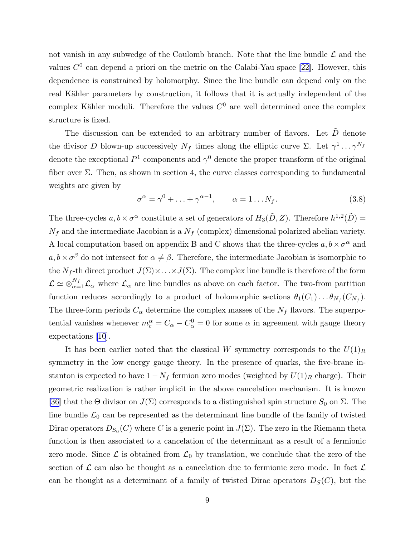not vanish in any subwedge of the Coulomb branch. Note that the line bundle  $\mathcal L$  and the values  $C^0$  can depend a priori on the metric on the Calabi-Yau space [\[22](#page-30-0)]. However, this dependence is constrained by holomorphy. Since the line bundle can depend only on the real Kähler parameters by construction, it follows that it is actually independent of the complex Kähler moduli. Therefore the values  $C^0$  are well determined once the complex structure is fixed.

The discussion can be extended to an arbitrary number of flavors. Let  $\tilde{D}$  denote the divisor D blown-up successively  $N_f$  times along the elliptic curve  $\Sigma$ . Let  $\gamma^1 \dots \gamma^{N_f}$ denote the exceptional  $P^1$  components and  $\gamma^0$  denote the proper transform of the original fiber over  $\Sigma$ . Then, as shown in section 4, the curve classes corresponding to fundamental weights are given by

$$
\sigma^{\alpha} = \gamma^{0} + \ldots + \gamma^{\alpha - 1}, \qquad \alpha = 1 \ldots N_{f}.
$$
\n(3.8)

The three-cycles  $a, b \times \sigma^{\alpha}$  constitute a set of generators of  $H_3(\tilde{D}, Z)$ . Therefore  $h^{1,2}(\tilde{D}) =$  $N_f$  and the intermediate Jacobian is a  $N_f$  (complex) dimensional polarized abelian variety. A local computation based on appendix B and C shows that the three-cycles  $a, b \times \sigma^{\alpha}$  and  $a, b \times \sigma^{\beta}$  do not intersect for  $\alpha \neq \beta$ . Therefore, the intermediate Jacobian is isomorphic to the  $N_f$ -th direct product  $J(\Sigma) \times ... \times J(\Sigma)$ . The complex line bundle is therefore of the form  $\mathcal{L} \simeq \otimes_{\alpha=1}^{N_f} \mathcal{L}_{\alpha}$  where  $\mathcal{L}_{\alpha}$  are line bundles as above on each factor. The two-from partition function reduces accordingly to a product of holomorphic sections  $\theta_1(C_1) \dots \theta_{N_f}(C_{N_f})$ . The three-form periods  $C_{\alpha}$  determine the complex masses of the  $N_f$  flavors. The superpotential vanishes whenever  $m_c^{\alpha} = C_{\alpha} - C_{\alpha}^0 = 0$  for some  $\alpha$  in agreement with gauge theory expectations [\[10](#page-29-0)].

It has been earlier noted that the classical W symmetry corresponds to the  $U(1)<sub>R</sub>$ symmetry in the low energy gauge theory. In the presence of quarks, the five-brane instanton is expected to have  $1 - N_f$  fermion zero modes (weighted by  $U(1)_R$  charge). Their geometric realization is rather implicit in the above cancelation mechanism. It is known [\[36](#page-30-0)] that the  $\Theta$  divisor on  $J(\Sigma)$  corresponds to a distinguished spin structure  $S_0$  on  $\Sigma$ . The line bundle  $\mathcal{L}_0$  can be represented as the determinant line bundle of the family of twisted Dirac operators  $D_{S_0}(C)$  where  $C$  is a generic point in  $J(\Sigma)$ . The zero in the Riemann theta function is then associated to a cancelation of the determinant as a result of a fermionic zero mode. Since  $\mathcal L$  is obtained from  $\mathcal L_0$  by translation, we conclude that the zero of the section of  $\mathcal L$  can also be thought as a cancelation due to fermionic zero mode. In fact  $\mathcal L$ can be thought as a determinant of a family of twisted Dirac operators  $D_S(C)$ , but the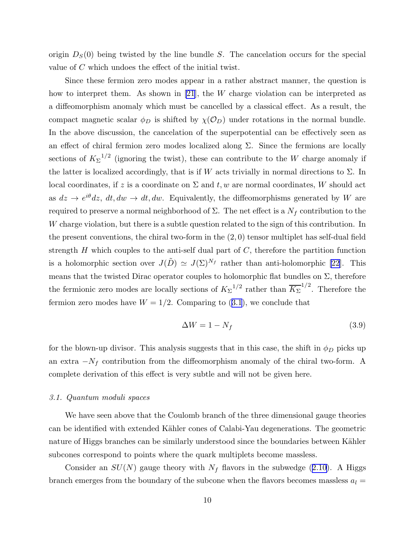origin  $D<sub>S</sub>(0)$  being twisted by the line bundle S. The cancelation occurs for the special value of C which undoes the effect of the initial twist.

Since these fermion zero modes appear in a rather abstract manner, the question is how to interpret them. As shown in [\[21](#page-30-0)], the W charge violation can be interpreted as a diffeomorphism anomaly which must be cancelled by a classical effect. As a result, the compact magnetic scalar  $\phi_D$  is shifted by  $\chi(\mathcal{O}_D)$  under rotations in the normal bundle. In the above discussion, the cancelation of the superpotential can be effectively seen as an effect of chiral fermion zero modes localized along  $\Sigma$ . Since the fermions are locally sections of  $K_{\Sigma}^{-1/2}$  (ignoring the twist), these can contribute to the W charge anomaly if the latter is localized accordingly, that is if W acts trivially in normal directions to  $\Sigma$ . In local coordinates, if z is a coordinate on  $\Sigma$  and t, w are normal coordinates, W should act as  $dz \to e^{i\theta} dz$ ,  $dt, dw \to dt, dw$ . Equivalently, the diffeomorphisms generated by W are required to preserve a normal neighborhood of  $\Sigma$ . The net effect is a  $N_f$  contribution to the W charge violation, but there is a subtle question related to the sign of this contribution. In the present conventions, the chiral two-form in the  $(2, 0)$  tensor multiplet has self-dual field strength  $H$  which couples to the anti-self dual part of  $C$ , therefore the partition function is a holomorphic section over  $J(\tilde{D}) \simeq J(\Sigma)^{N_f}$  rather than anti-holomorphic [\[22](#page-30-0)]. This means that the twisted Dirac operator couples to holomorphic flat bundles on  $\Sigma$ , therefore the fermionic zero modes are locally sections of  $K_{\Sigma}^{-1/2}$  rather than  $\overline{K_{\Sigma}}^{1/2}$ . Therefore the fermionzero modes have  $W = 1/2$ . Comparing to ([3.1](#page-6-0)), we conclude that

$$
\Delta W = 1 - N_f \tag{3.9}
$$

for the blown-up divisor. This analysis suggests that in this case, the shift in  $\phi_D$  picks up an extra  $-N_f$  contribution from the diffeomorphism anomaly of the chiral two-form. A complete derivation of this effect is very subtle and will not be given here.

#### 3.1. Quantum moduli spaces

We have seen above that the Coulomb branch of the three dimensional gauge theories can be identified with extended Kähler cones of Calabi-Yau degenerations. The geometric nature of Higgs branches can be similarly understood since the boundaries between Kähler subcones correspond to points where the quark multiplets become massless.

Consideran  $SU(N)$  gauge theory with  $N_f$  flavors in the subwedge ([2.10](#page-5-0)). A Higgs branch emerges from the boundary of the subcone when the flavors becomes massless  $a_l =$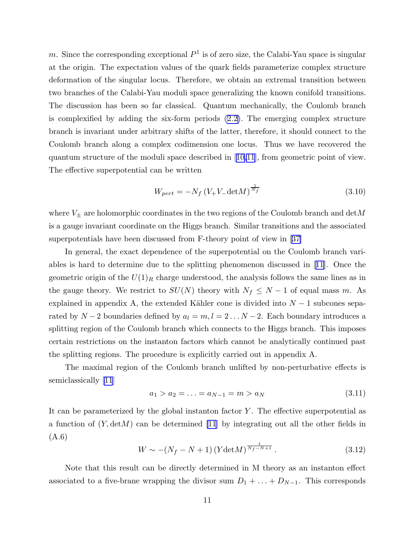<span id="page-11-0"></span>m. Since the corresponding exceptional  $P^1$  is of zero size, the Calabi-Yau space is singular at the origin. The expectation values of the quark fields parameterize complex structure deformation of the singular locus. Therefore, we obtain an extremal transition between two branches of the Calabi-Yau moduli space generalizing the known conifold transitions. The discussion has been so far classical. Quantum mechanically, the Coulomb branch is complexified by adding the six-form periods [\(2.2\)](#page-3-0). The emerging complex structure branch is invariant under arbitrary shifts of the latter, therefore, it should connect to the Coulomb branch along a complex codimension one locus. Thus we have recovered the quantum structure of the moduli space described in[[10,11](#page-29-0)], from geometric point of view. The effective superpotential can be written

$$
W_{pert} = -N_f \left( V_+ V_- \det M \right)^{\frac{1}{N_f}} \tag{3.10}
$$

where  $V_{\pm}$  are holomorphic coordinates in the two regions of the Coulomb branch and  ${\rm det}M$ is a gauge invariant coordinate on the Higgs branch. Similar transitions and the associated superpotentials have been discussed from F-theory point of view in[[37\]](#page-31-0)

In general, the exact dependence of the superpotential on the Coulomb branch variables is hard to determine due to the splitting phenomenon discussed in[[11\]](#page-29-0). Once the geometric origin of the  $U(1)<sub>R</sub>$  charge understood, the analysis follows the same lines as in the gauge theory. We restrict to  $SU(N)$  theory with  $N_f \leq N-1$  of equal mass m. As explained in appendix A, the extended Kähler cone is divided into  $N-1$  subcones separated by  $N-2$  boundaries defined by  $a_l = m, l = 2...N-2$ . Each boundary introduces a splitting region of the Coulomb branch which connects to the Higgs branch. This imposes certain restrictions on the instanton factors which cannot be analytically continued past the splitting regions. The procedure is explicitly carried out in appendix A.

The maximal region of the Coulomb branch unlifted by non-perturbative effects is semiclassically [\[11](#page-29-0)]

$$
a_1 > a_2 = \ldots = a_{N-1} = m > a_N \tag{3.11}
$$

It can be parameterized by the global instanton factor  $Y$ . The effective superpotential as a function of  $(Y, detM)$  can be determined [\[11](#page-29-0)] by integrating out all the other fields in (A.6)

$$
W \sim -(N_f - N + 1) \left( Y \det M \right)^{\frac{1}{N_f - N + 1}}.
$$
\n(3.12)

Note that this result can be directly determined in M theory as an instanton effect associated to a five-brane wrapping the divisor sum  $D_1 + \ldots + D_{N-1}$ . This corresponds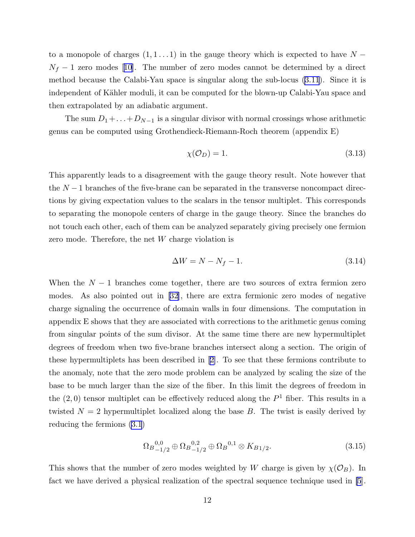to a monopole of charges  $(1, 1 \ldots 1)$  in the gauge theory which is expected to have  $N N_f - 1$  $N_f - 1$  $N_f - 1$  zero modes [[10\]](#page-29-0). The number of zero modes cannot be determined by a direct method because the Calabi-Yau space is singular along the sub-locus([3.11](#page-11-0)). Since it is independent of Kähler moduli, it can be computed for the blown-up Calabi-Yau space and then extrapolated by an adiabatic argument.

The sum  $D_1 + \ldots + D_{N-1}$  is a singular divisor with normal crossings whose arithmetic genus can be computed using Grothendieck-Riemann-Roch theorem (appendix E)

$$
\chi(\mathcal{O}_D) = 1. \tag{3.13}
$$

This apparently leads to a disagreement with the gauge theory result. Note however that the  $N-1$  branches of the five-brane can be separated in the transverse noncompact directions by giving expectation values to the scalars in the tensor multiplet. This corresponds to separating the monopole centers of charge in the gauge theory. Since the branches do not touch each other, each of them can be analyzed separately giving precisely one fermion zero mode. Therefore, the net W charge violation is

$$
\Delta W = N - N_f - 1. \tag{3.14}
$$

When the  $N-1$  branches come together, there are two sources of extra fermion zero modes. As also pointed out in[[32\]](#page-30-0), there are extra fermionic zero modes of negative charge signaling the occurrence of domain walls in four dimensions. The computation in appendix E shows that they are associated with corrections to the arithmetic genus coming from singular points of the sum divisor. At the same time there are new hypermultiplet degrees of freedom when two five-brane branches intersect along a section. The origin of these hypermultiplets has been described in[[2\]](#page-29-0). To see that these fermions contribute to the anomaly, note that the zero mode problem can be analyzed by scaling the size of the base to be much larger than the size of the fiber. In this limit the degrees of freedom in the  $(2,0)$  tensor multiplet can be effectively reduced along the  $P<sup>1</sup>$  fiber. This results in a twisted  $N = 2$  hypermultiplet localized along the base B. The twist is easily derived by reducing the fermions([3.1](#page-6-0))

$$
\Omega_{B_{-1/2}}^{0,0} \oplus \Omega_{B_{-1/2}}^{0,2} \oplus \Omega_{B}^{0,1} \otimes K_{B_{1/2}}.\tag{3.15}
$$

This shows that the number of zero modes weighted by W charge is given by  $\chi(\mathcal{O}_B)$ . In fact we have derived a physical realization of the spectral sequence technique used in [\[5](#page-29-0)].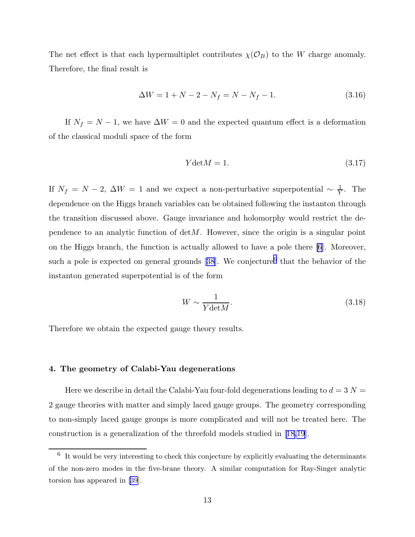The net effect is that each hypermultiplet contributes  $\chi(\mathcal{O}_B)$  to the W charge anomaly. Therefore, the final result is

$$
\Delta W = 1 + N - 2 - N_f = N - N_f - 1. \tag{3.16}
$$

If  $N_f = N - 1$ , we have  $\Delta W = 0$  and the expected quantum effect is a deformation of the classical moduli space of the form

$$
Ydet M = 1.\t\t(3.17)
$$

If  $N_f = N - 2$ ,  $\Delta W = 1$  and we expect a non-perturbative superpotential  $\sim \frac{1}{Y}$  $\frac{1}{Y}$ . The dependence on the Higgs branch variables can be obtained following the instanton through the transition discussed above. Gauge invariance and holomorphy would restrict the dependence to an analytic function of  $det M$ . However, since the origin is a singular point on the Higgs branch, the function is actually allowed to have a pole there [\[6](#page-29-0)]. Moreover, sucha pole is expected on general grounds [[38\]](#page-31-0). We conjecture<sup>6</sup> that the behavior of the instanton generated superpotential is of the form

$$
W \sim \frac{1}{Y \text{det} M}.\tag{3.18}
$$

Therefore we obtain the expected gauge theory results.

# 4. The geometry of Calabi-Yau degenerations

Here we describe in detail the Calabi-Yau four-fold degenerations leading to  $d = 3$  N = 2 gauge theories with matter and simply laced gauge groups. The geometry corresponding to non-simply laced gauge groups is more complicated and will not be treated here. The construction is a generalization of the threefold models studied in[[18,](#page-29-0)[19](#page-30-0)].

 $6\;$  It would be very interesting to check this conjecture by explicitly evaluating the determinants of the non-zero modes in the five-brane theory. A similar computation for Ray-Singer analytic torsion has appeared in [\[39](#page-31-0)].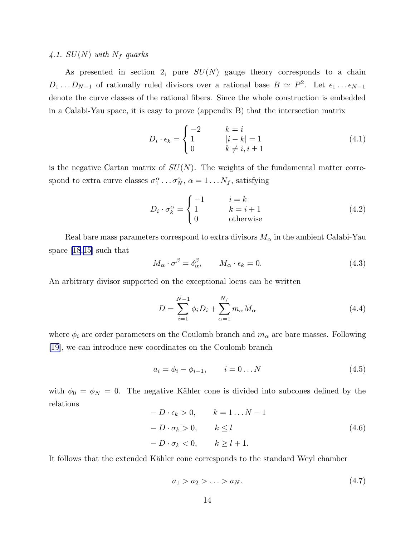# 4.1.  $SU(N)$  with  $N_f$  quarks

As presented in section 2, pure  $SU(N)$  gauge theory corresponds to a chain  $D_1 \dots D_{N-1}$  of rationally ruled divisors over a rational base  $B \simeq P^2$ . Let  $\epsilon_1 \dots \epsilon_{N-1}$ denote the curve classes of the rational fibers. Since the whole construction is embedded in a Calabi-Yau space, it is easy to prove (appendix B) that the intersection matrix

$$
D_i \cdot \epsilon_k = \begin{cases} -2 & k = i \\ 1 & |i - k| = 1 \\ 0 & k \neq i, i \pm 1 \end{cases}
$$
 (4.1)

is the negative Cartan matrix of  $SU(N)$ . The weights of the fundamental matter correspond to extra curve classes  $\sigma_1^{\alpha} \dots \sigma_N^{\alpha}, \alpha = 1 \dots N_f$ , satisfying

$$
D_i \cdot \sigma_k^{\alpha} = \begin{cases} -1 & i = k \\ 1 & k = i + 1 \\ 0 & \text{otherwise} \end{cases} \tag{4.2}
$$

Real bare mass parameters correspond to extra divisors  $M_{\alpha}$  in the ambient Calabi-Yau space [\[18](#page-29-0),[15\]](#page-29-0) such that

$$
M_{\alpha} \cdot \sigma^{\beta} = \delta_{\alpha}^{\beta}, \qquad M_{\alpha} \cdot \epsilon_{k} = 0.
$$
\n(4.3)

An arbitrary divisor supported on the exceptional locus can be written

$$
D = \sum_{i=1}^{N-1} \phi_i D_i + \sum_{\alpha=1}^{N_f} m_\alpha M_\alpha \qquad (4.4)
$$

where  $\phi_i$  are order parameters on the Coulomb branch and  $m_\alpha$  are bare masses. Following [\[19](#page-30-0)], we can introduce new coordinates on the Coulomb branch

$$
a_i = \phi_i - \phi_{i-1}, \qquad i = 0...N \tag{4.5}
$$

with  $\phi_0 = \phi_N = 0$ . The negative Kähler cone is divided into subcones defined by the relations

$$
- D \cdot \epsilon_k > 0, \qquad k = 1 \dots N - 1
$$
  

$$
- D \cdot \sigma_k > 0, \qquad k \le l
$$
  

$$
- D \cdot \sigma_k < 0, \qquad k \ge l + 1.
$$
  
(4.6)

It follows that the extended Kähler cone corresponds to the standard Weyl chamber

$$
a_1 > a_2 > \ldots > a_N. \tag{4.7}
$$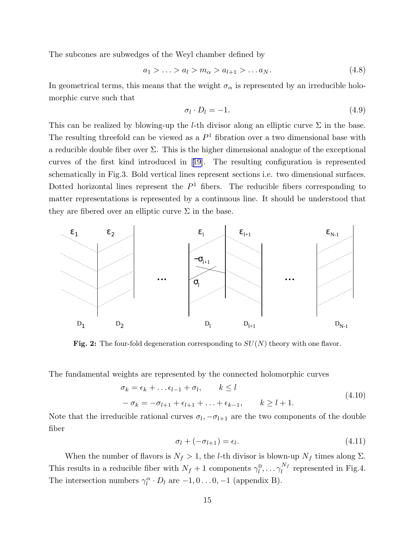The subcones are subwedges of the Weyl chamber defined by

$$
a_1 > \ldots > a_l > m_\alpha > a_{l+1} > \ldots a_N. \tag{4.8}
$$

In geometrical terms, this means that the weight  $\sigma_{\alpha}$  is represented by an irreducible holomorphic curve such that

$$
\sigma_l \cdot D_l = -1. \tag{4.9}
$$

This can be realized by blowing-up the *l*-th divisor along an elliptic curve  $\Sigma$  in the base. The resulting threefold can be viewed as a  $P<sup>1</sup>$  fibration over a two dimensional base with a reducible double fiber over  $\Sigma$ . This is the higher dimensional analogue of the exceptional curves of the first kind introduced in[[19\]](#page-30-0). The resulting configuration is represented schematically in Fig.3. Bold vertical lines represent sections i.e. two dimensional surfaces. Dotted horizontal lines represent the  $P<sup>1</sup>$  fibers. The reducible fibers corresponding to matter representations is represented by a continuous line. It should be understood that they are fibered over an elliptic curve  $\Sigma$  in the base.



Fig. 2: The four-fold degeneration corresponding to  $SU(N)$  theory with one flavor.

The fundamental weights are represented by the connected holomorphic curves

$$
\sigma_k = \epsilon_k + \dots + \epsilon_{l-1} + \sigma_l, \qquad k \le l
$$
  

$$
-\sigma_k = -\sigma_{l+1} + \epsilon_{l+1} + \dots + \epsilon_{k-1}, \qquad k \ge l+1.
$$
 (4.10)

Note that the irreducible rational curves  $\sigma_l$ ,  $-\sigma_{l+1}$  are the two components of the double fiber

$$
\sigma_l + (-\sigma_{l+1}) = \epsilon_l. \tag{4.11}
$$

When the number of flavors is  $N_f > 1$ , the *l*-th divisor is blown-up  $N_f$  times along  $\Sigma$ . This results in a reducible fiber with  $N_f + 1$  components  $\gamma_l^0, \ldots, \gamma_l^{N_f}$  $\int_l^{N_f}$  represented in Fig.4. The intersection numbers  $\gamma_l^{\alpha} \cdot D_l$  are  $-1, 0 \dots 0, -1$  (appendix B).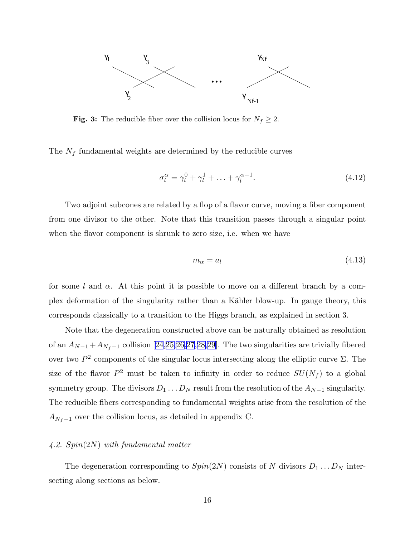

Fig. 3: The reducible fiber over the collision locus for  $N_f \geq 2$ .

The  $N_f$  fundamental weights are determined by the reducible curves

$$
\sigma_l^{\alpha} = \gamma_l^0 + \gamma_l^1 + \ldots + \gamma_l^{\alpha - 1}.\tag{4.12}
$$

Two adjoint subcones are related by a flop of a flavor curve, moving a fiber component from one divisor to the other. Note that this transition passes through a singular point when the flavor component is shrunk to zero size, i.e. when we have

$$
m_{\alpha} = a_{l} \tag{4.13}
$$

for some l and  $\alpha$ . At this point it is possible to move on a different branch by a complex deformation of the singularity rather than a Kähler blow-up. In gauge theory, this corresponds classically to a transition to the Higgs branch, as explained in section 3.

Note that the degeneration constructed above can be naturally obtained as resolution of an  $A_{N-1}+A_{N_f-1}$  collision [\[24](#page-30-0),[25,26,27](#page-30-0),[28,29](#page-30-0)]. The two singularities are trivially fibered over two  $P^2$  components of the singular locus intersecting along the elliptic curve  $\Sigma$ . The size of the flavor  $P^2$  must be taken to infinity in order to reduce  $SU(N_f)$  to a global symmetry group. The divisors  $D_1 \ldots D_N$  result from the resolution of the  $A_{N-1}$  singularity. The reducible fibers corresponding to fundamental weights arise from the resolution of the  $A_{N_f-1}$  over the collision locus, as detailed in appendix C.

# 4.2. Spin(2N) with fundamental matter

The degeneration corresponding to  $Spin(2N)$  consists of N divisors  $D_1 \ldots D_N$  intersecting along sections as below.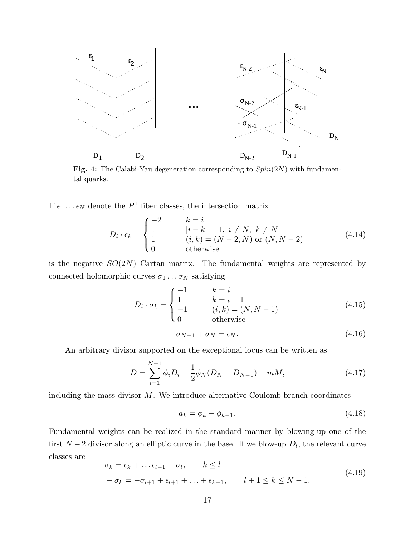

Fig. 4: The Calabi-Yau degeneration corresponding to  $Spin(2N)$  with fundamental quarks.

If  $\epsilon_1 \dots \epsilon_N$  denote the  $P^1$  fiber classes, the intersection matrix

$$
D_i \cdot \epsilon_k = \begin{cases} -2 & k = i \\ 1 & |i - k| = 1, i \neq N, k \neq N \\ 1 & (i, k) = (N - 2, N) \text{ or } (N, N - 2) \\ 0 & \text{otherwise} \end{cases}
$$
(4.14)

is the negative  $SO(2N)$  Cartan matrix. The fundamental weights are represented by connected holomorphic curves  $\sigma_1 \dots \sigma_N$  satisfying

$$
D_i \cdot \sigma_k = \begin{cases} -1 & k = i \\ 1 & k = i + 1 \\ -1 & (i, k) = (N, N - 1) \\ 0 & \text{otherwise} \end{cases} \tag{4.15}
$$

$$
\sigma_{N-1} + \sigma_N = \epsilon_N. \tag{4.16}
$$

An arbitrary divisor supported on the exceptional locus can be written as

$$
D = \sum_{i=1}^{N-1} \phi_i D_i + \frac{1}{2} \phi_N (D_N - D_{N-1}) + mM,
$$
\n(4.17)

including the mass divisor  $M$ . We introduce alternative Coulomb branch coordinates

$$
a_k = \phi_k - \phi_{k-1}.\tag{4.18}
$$

Fundamental weights can be realized in the standard manner by blowing-up one of the first  $N-2$  divisor along an elliptic curve in the base. If we blow-up  $D_l$ , the relevant curve classes are

$$
\sigma_k = \epsilon_k + \dots + \epsilon_{l-1} + \sigma_l, \qquad k \le l
$$
  

$$
-\sigma_k = -\sigma_{l+1} + \epsilon_{l+1} + \dots + \epsilon_{k-1}, \qquad l+1 \le k \le N-1.
$$
 (4.19)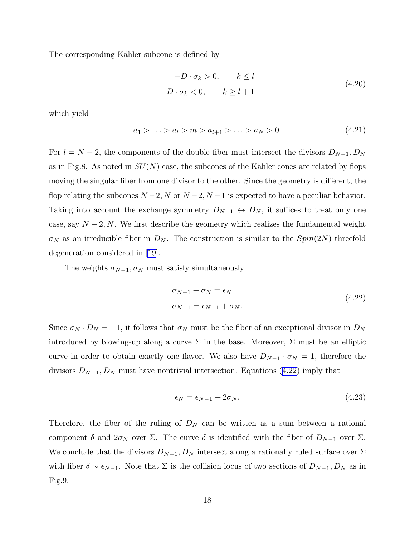The corresponding Kähler subcone is defined by

$$
-D \cdot \sigma_k > 0, \qquad k \le l
$$
  

$$
-D \cdot \sigma_k < 0, \qquad k \ge l+1
$$
 (4.20)

which yield

$$
a_1 > \ldots > a_l > m > a_{l+1} > \ldots > a_N > 0. \tag{4.21}
$$

For  $l = N - 2$ , the components of the double fiber must intersect the divisors  $D_{N-1}, D_N$ as in Fig.8. As noted in  $SU(N)$  case, the subcones of the Kähler cones are related by flops moving the singular fiber from one divisor to the other. Since the geometry is different, the flop relating the subcones  $N-2$ , N or  $N-2$ ,  $N-1$  is expected to have a peculiar behavior. Taking into account the exchange symmetry  $D_{N-1} \leftrightarrow D_N$ , it suffices to treat only one case, say  $N-2$ , N. We first describe the geometry which realizes the fundamental weight  $\sigma_N$  as an irreducible fiber in  $D_N$ . The construction is similar to the  $Spin(2N)$  threefold degeneration considered in [\[19](#page-30-0)].

The weights  $\sigma_{N-1}, \sigma_N$  must satisfy simultaneously

$$
\sigma_{N-1} + \sigma_N = \epsilon_N
$$
  
\n
$$
\sigma_{N-1} = \epsilon_{N-1} + \sigma_N.
$$
\n(4.22)

Since  $\sigma_N \cdot D_N = -1$ , it follows that  $\sigma_N$  must be the fiber of an exceptional divisor in  $D_N$ introduced by blowing-up along a curve  $\Sigma$  in the base. Moreover,  $\Sigma$  must be an elliptic curve in order to obtain exactly one flavor. We also have  $D_{N-1} \cdot \sigma_N = 1$ , therefore the divisors  $D_{N-1}, D_N$  must have nontrivial intersection. Equations (4.22) imply that

$$
\epsilon_N = \epsilon_{N-1} + 2\sigma_N. \tag{4.23}
$$

Therefore, the fiber of the ruling of  $D<sub>N</sub>$  can be written as a sum between a rational component  $\delta$  and  $2\sigma_N$  over  $\Sigma$ . The curve  $\delta$  is identified with the fiber of  $D_{N-1}$  over  $\Sigma$ . We conclude that the divisors  $D_{N-1}, D_N$  intersect along a rationally ruled surface over  $\Sigma$ with fiber  $\delta \sim \epsilon_{N-1}$ . Note that  $\Sigma$  is the collision locus of two sections of  $D_{N-1}, D_N$  as in Fig.9.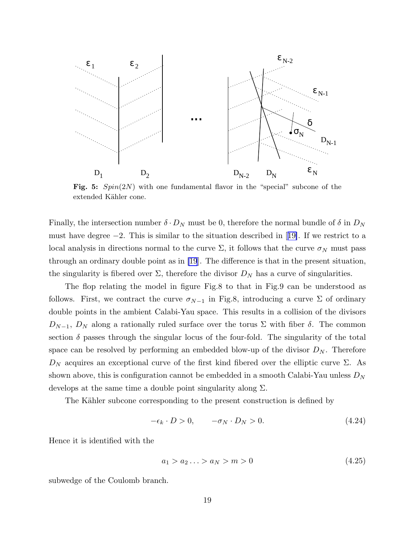

Fig. 5:  $Spin(2N)$  with one fundamental flavor in the "special" subcone of the extended Kähler cone.

Finally, the intersection number  $\delta \cdot D_N$  must be 0, therefore the normal bundle of  $\delta$  in  $D_N$ musthave degree  $-2$ . This is similar to the situation described in [[19\]](#page-30-0). If we restrict to a local analysis in directions normal to the curve  $\Sigma$ , it follows that the curve  $\sigma_N$  must pass through an ordinary double point as in [\[19](#page-30-0)]. The difference is that in the present situation, the singularity is fibered over  $\Sigma$ , therefore the divisor  $D<sub>N</sub>$  has a curve of singularities.

The flop relating the model in figure Fig.8 to that in Fig.9 can be understood as follows. First, we contract the curve  $\sigma_{N-1}$  in Fig.8, introducing a curve  $\Sigma$  of ordinary double points in the ambient Calabi-Yau space. This results in a collision of the divisors  $D_{N-1}$ ,  $D_N$  along a rationally ruled surface over the torus  $\Sigma$  with fiber  $\delta$ . The common section  $\delta$  passes through the singular locus of the four-fold. The singularity of the total space can be resolved by performing an embedded blow-up of the divisor  $D<sub>N</sub>$ . Therefore  $D_N$  acquires an exceptional curve of the first kind fibered over the elliptic curve Σ. As shown above, this is configuration cannot be embedded in a smooth Calabi-Yau unless  $D<sub>N</sub>$ develops at the same time a double point singularity along  $\Sigma$ .

The Kähler subcone corresponding to the present construction is defined by

$$
-\epsilon_k \cdot D > 0, \qquad -\sigma_N \cdot D_N > 0. \tag{4.24}
$$

Hence it is identified with the

$$
a_1 > a_2 \ldots > a_N > m > 0 \tag{4.25}
$$

subwedge of the Coulomb branch.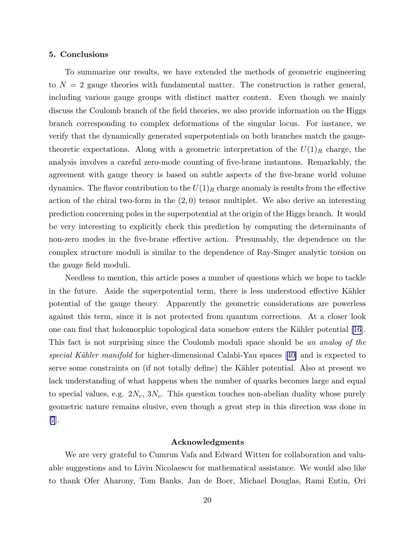#### 5. Conclusions

To summarize our results, we have extended the methods of geometric engineering to  $N = 2$  gauge theories with fundamental matter. The construction is rather general, including various gauge groups with distinct matter content. Even though we mainly discuss the Coulomb branch of the field theories, we also provide information on the Higgs branch corresponding to complex deformations of the singular locus. For instance, we verify that the dynamically generated superpotentials on both branches match the gaugetheoretic expectations. Along with a geometric interpretation of the  $U(1)<sub>R</sub>$  charge, the analysis involves a careful zero-mode counting of five-brane instantons. Remarkably, the agreement with gauge theory is based on subtle aspects of the five-brane world volume dynamics. The flavor contribution to the  $U(1)_R$  charge anomaly is results from the effective action of the chiral two-form in the  $(2,0)$  tensor multiplet. We also derive an interesting prediction concerning poles in the superpotential at the origin of the Higgs branch. It would be very interesting to explicitly check this prediction by computing the determinants of non-zero modes in the five-brane effective action. Presumably, the dependence on the complex structure moduli is similar to the dependence of Ray-Singer analytic torsion on the gauge field moduli.

Needless to mention, this article poses a number of questions which we hope to tackle in the future. Aside the superpotential term, there is less understood effective Kähler potential of the gauge theory. Apparently the geometric considerations are powerless against this term, since it is not protected from quantum corrections. At a closer look one can find that holomorphic topological data somehow enters the Kähler potential [\[16](#page-29-0)]. This fact is not surprising since the Coulomb moduli space should be an analog of the specialKähler manifold for higher-dimensional Calabi-Yau spaces  $|40|$  and is expected to serve some constraints on (if not totally define) the Kähler potential. Also at present we lack understanding of what happens when the number of quarks becomes large and equal to special values, e.g.  $2N_c$ ,  $3N_c$ . This question touches non-abelian duality whose purely geometric nature remains elusive, even though a great step in this direction was done in [\[7](#page-29-0)].

#### Acknowledgments

We are very grateful to Cumrun Vafa and Edward Witten for collaboration and valuable suggestions and to Liviu Nicolaescu for mathematical assistance. We would also like to thank Ofer Aharony, Tom Banks, Jan de Boer, Michael Douglas, Rami Entin, Ori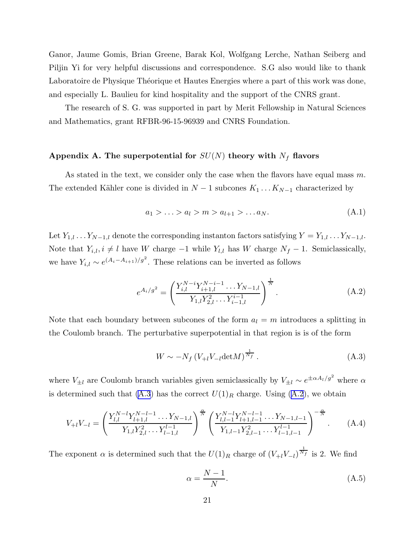<span id="page-21-0"></span>Ganor, Jaume Gomis, Brian Greene, Barak Kol, Wolfgang Lerche, Nathan Seiberg and Piljin Yi for very helpful discussions and correspondence. S.G also would like to thank Laboratoire de Physique Théorique et Hautes Energies where a part of this work was done, and especially L. Baulieu for kind hospitality and the support of the CNRS grant.

The research of S. G. was supported in part by Merit Fellowship in Natural Sciences and Mathematics, grant RFBR-96-15-96939 and CNRS Foundation.

# Appendix A. The superpotential for  $SU(N)$  theory with  $N_f$  flavors

As stated in the text, we consider only the case when the flavors have equal mass m. The extended Kähler cone is divided in  $N-1$  subcones  $K_1 \dots K_{N-1}$  characterized by

$$
a_1 > \ldots > a_l > m > a_{l+1} > \ldots a_N. \tag{A.1}
$$

Let  $Y_{1,l}$  . . .  $Y_{N-1,l}$  denote the corresponding instanton factors satisfying  $Y = Y_{1,l}$ . . .  $Y_{N-1,l}$ . Note that  $Y_{i,l}$ ,  $i \neq l$  have W charge  $-1$  while  $Y_{l,l}$  has W charge  $N_f - 1$ . Semiclassically, we have  $Y_{i,l} \sim e^{(A_i - A_{i+1})/g^2}$ . These relations can be inverted as follows

$$
e^{A_i/g^2} = \left(\frac{Y_{i,l}^{N-i} Y_{i+1,l}^{N-i-1} \dots Y_{N-1,l}}{Y_{1,l} Y_{2,l}^2 \dots Y_{i-1,l}^{i-1}}\right)^{\frac{1}{N}}.
$$
 (A.2)

Note that each boundary between subcones of the form  $a_l = m$  introduces a splitting in the Coulomb branch. The perturbative superpotential in that region is is of the form

$$
W \sim -N_f \left( V_{+l} V_{-l} \det M \right)^{\frac{1}{N_f}}.
$$
\n(A.3)

where  $V_{\pm l}$  are Coulomb branch variables given semiclassically by  $V_{\pm l} \sim e^{\pm \alpha A_l/g^2}$  where  $\alpha$ is determined such that (A.3) has the correct  $U(1)_R$  charge. Using (A.2), we obtain

$$
V_{+l}V_{-l} = \left(\frac{Y_{l,l}^{N-l}Y_{l+1,l}^{N-l-1}\dots Y_{N-1,l}}{Y_{1,l}Y_{2,l}^2\dots Y_{l-1,l}^{l-1}}\right)^{\frac{\alpha}{N}} \left(\frac{Y_{l,l-1}^{N-l}Y_{l+1,l-1}^{N-l-1}\dots Y_{N-1,l-1}}{Y_{1,l-1}Y_{2,l-1}^2\dots Y_{l-1,l-1}^{l-1}}\right)^{-\frac{\alpha}{N}}.
$$
 (A.4)

The exponent  $\alpha$  is determined such that the  $U(1)_R$  charge of  $(V_{+l}V_{-l})^{\frac{1}{N_f}}$  is 2. We find

$$
\alpha = \frac{N-1}{N}.\tag{A.5}
$$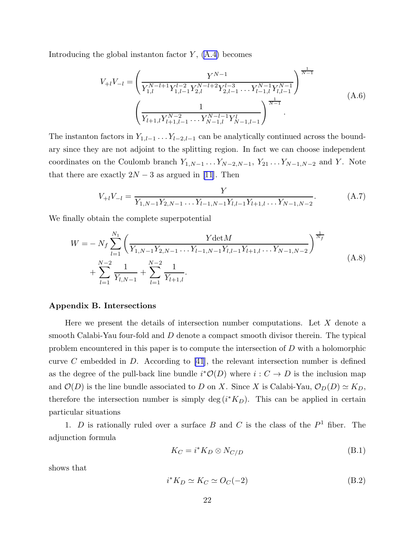Introducing the global instanton factor  $Y$ ,  $(A.4)$  becomes

$$
V_{+l}V_{-l} = \left(\frac{Y^{N-1}}{Y_{1,l}^{N-l+1}Y_{1,l-1}^{l-2}Y_{2,l}^{N-l+2}Y_{2,l-1}^{l-3}\dots Y_{l-1,l}^{N-1}Y_{l,l-1}^{N-1}}\right)^{\frac{1}{N-1}}
$$
\n
$$
\left(\frac{1}{Y_{l+1,l}Y_{l+1,l-1}^{N-2}\dots Y_{N-1,l}^{N-l-1}Y_{N-1,l-1}^{l}}\right)^{\frac{1}{N-1}}
$$
\n(A.6)

The instanton factors in  $Y_{1,l-1}$ ...  $Y_{l-2,l-1}$  can be analytically continued across the boundary since they are not adjoint to the splitting region. In fact we can choose independent coordinates on the Coulomb branch  $Y_{1,N-1}$ ... $Y_{N-2,N-1}$ ,  $Y_{21}$ ... $Y_{N-1,N-2}$  and Y. Note that there are exactly  $2N-3$  as argued in [\[11](#page-29-0)]. Then

$$
V_{+l}V_{-l} = \frac{Y}{Y_{1,N-1}Y_{2,N-1}\dots Y_{l-1,N-1}Y_{l,l-1}Y_{l+1,l}\dots Y_{N-1,N-2}}.\tag{A.7}
$$

We finally obtain the complete superpotential

$$
W = -N_f \sum_{l=1}^{N_1} \left( \frac{Y \det M}{Y_{1,N-1} Y_{2,N-1} \dots Y_{l-1,N-1} Y_{l,l-1} Y_{l+1,l} \dots Y_{N-1,N-2}} \right)^{\frac{1}{N_f}} + \sum_{l=1}^{N-2} \frac{1}{Y_{l,N-1}} + \sum_{l=1}^{N-2} \frac{1}{Y_{l+1,l}}.
$$
\n(A.8)

# Appendix B. Intersections

Here we present the details of intersection number computations. Let  $X$  denote a smooth Calabi-Yau four-fold and D denote a compact smooth divisor therein. The typical problem encountered in this paper is to compute the intersection of D with a holomorphic curve C embedded in D. According to  $[41]$ , the relevant intersection number is defined as the degree of the pull-back line bundle  $i^*O(D)$  where  $i: C \to D$  is the inclusion map and  $\mathcal{O}(D)$  is the line bundle associated to D on X. Since X is Calabi-Yau,  $\mathcal{O}_D(D) \simeq K_D$ , therefore the intersection number is simply deg  $(i*K_D)$ . This can be applied in certain particular situations

1.  $D$  is rationally ruled over a surface  $B$  and  $C$  is the class of the  $P<sup>1</sup>$  fiber. The adjunction formula

$$
K_C = i^* K_D \otimes N_{C/D} \tag{B.1}
$$

shows that

$$
i^* K_D \simeq K_C \simeq O_C(-2)
$$
 (B.2)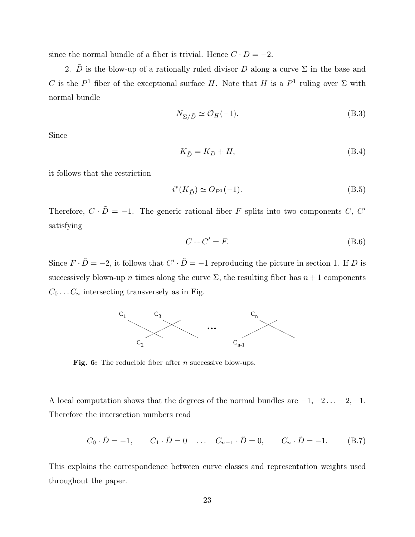since the normal bundle of a fiber is trivial. Hence  $C \cdot D = -2$ .

2.  $\tilde{D}$  is the blow-up of a rationally ruled divisor D along a curve  $\Sigma$  in the base and C is the  $P^1$  fiber of the exceptional surface H. Note that H is a  $P^1$  ruling over  $\Sigma$  with normal bundle

$$
N_{\Sigma/\tilde{D}} \simeq \mathcal{O}_H(-1). \tag{B.3}
$$

Since

$$
K_{\tilde{D}} = K_D + H,\tag{B.4}
$$

it follows that the restriction

$$
i^*(K_{\tilde{D}}) \simeq O_{P^1}(-1). \tag{B.5}
$$

Therefore,  $C \cdot \tilde{D} = -1$ . The generic rational fiber F splits into two components C, C' satisfying

$$
C + C' = F.
$$
 (B.6)

Since  $F \cdot \tilde{D} = -2$ , it follows that  $C' \cdot \tilde{D} = -1$  reproducing the picture in section 1. If D is successively blown-up n times along the curve  $\Sigma$ , the resulting fiber has  $n+1$  components  $C_0 \ldots C_n$  intersecting transversely as in Fig.



Fig. 6: The reducible fiber after *n* successive blow-ups.

A local computation shows that the degrees of the normal bundles are  $-1, -2, \ldots, -2, -1$ . Therefore the intersection numbers read

$$
C_0 \cdot \tilde{D} = -1,
$$
  $C_1 \cdot \tilde{D} = 0$  ...  $C_{n-1} \cdot \tilde{D} = 0,$   $C_n \cdot \tilde{D} = -1.$  (B.7)

This explains the correspondence between curve classes and representation weights used throughout the paper.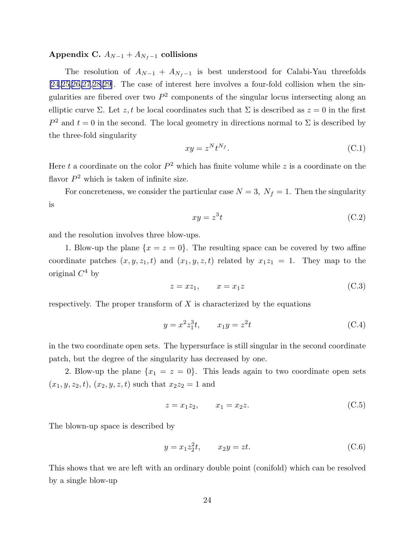# Appendix C.  $A_{N-1} + A_{N_f-1}$  collisions

The resolution of  $A_{N-1} + A_{N_f-1}$  is best understood for Calabi-Yau threefolds [\[24](#page-30-0),[25,26,27](#page-30-0),[28,29](#page-30-0)]. The case of interest here involves a four-fold collision when the singularities are fibered over two  $P^2$  components of the singular locus intersecting along an elliptic curve Σ. Let z, t be local coordinates such that Σ is described as  $z = 0$  in the first  $P^2$  and  $t = 0$  in the second. The local geometry in directions normal to  $\Sigma$  is described by the three-fold singularity

$$
xy = z^N t^{N_f}.
$$
 (C.1)

Here t a coordinate on the color  $P^2$  which has finite volume while z is a coordinate on the flavor  $P^2$  which is taken of infinite size.

For concreteness, we consider the particular case  $N = 3$ ,  $N_f = 1$ . Then the singularity is

$$
xy = z^3 t \tag{C.2}
$$

and the resolution involves three blow-ups.

1. Blow-up the plane  $\{x = z = 0\}$ . The resulting space can be covered by two affine coordinate patches  $(x, y, z_1, t)$  and  $(x_1, y, z, t)$  related by  $x_1z_1 = 1$ . They map to the original  $C^4$  by

$$
z = xz_1, \qquad x = x_1z \tag{C.3}
$$

respectively. The proper transform of  $X$  is characterized by the equations

$$
y = x^2 z_1^3 t, \qquad x_1 y = z^2 t \tag{C.4}
$$

in the two coordinate open sets. The hypersurface is still singular in the second coordinate patch, but the degree of the singularity has decreased by one.

2. Blow-up the plane  $\{x_1 = z = 0\}$ . This leads again to two coordinate open sets  $(x_1, y, z_2, t), (x_2, y, z, t)$  such that  $x_2z_2 = 1$  and

$$
z = x_1 z_2, \qquad x_1 = x_2 z. \tag{C.5}
$$

The blown-up space is described by

$$
y = x_1 z_2^2 t, \t x_2 y = zt.
$$
 (C.6)

This shows that we are left with an ordinary double point (conifold) which can be resolved by a single blow-up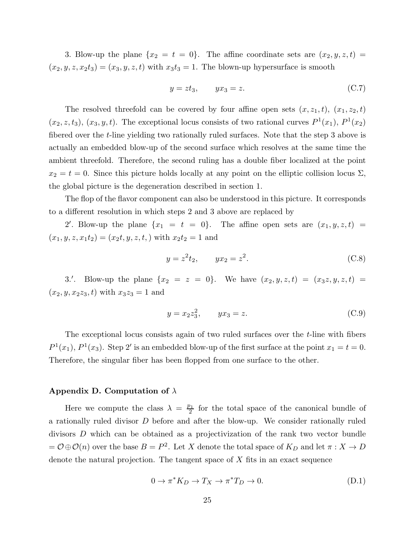3. Blow-up the plane  $\{x_2 = t = 0\}$ . The affine coordinate sets are  $(x_2, y, z, t) =$  $(x_2, y, z, x_2t_3) = (x_3, y, z, t)$  with  $x_3t_3 = 1$ . The blown-up hypersurface is smooth

$$
y = z t_3, \qquad y x_3 = z. \tag{C.7}
$$

The resolved threefold can be covered by four affine open sets  $(x, z_1, t)$ ,  $(x_1, z_2, t)$  $(x_2, z, t_3), (x_3, y, t)$ . The exceptional locus consists of two rational curves  $P<sup>1</sup>(x_1), P<sup>1</sup>(x_2)$ fibered over the *t*-line yielding two rationally ruled surfaces. Note that the step 3 above is actually an embedded blow-up of the second surface which resolves at the same time the ambient threefold. Therefore, the second ruling has a double fiber localized at the point  $x_2 = t = 0$ . Since this picture holds locally at any point on the elliptic collision locus  $\Sigma$ , the global picture is the degeneration described in section 1.

The flop of the flavor component can also be understood in this picture. It corresponds to a different resolution in which steps 2 and 3 above are replaced by

2'. Blow-up the plane  $\{x_1 = t = 0\}$ . The affine open sets are  $(x_1, y, z, t)$  $(x_1, y, z, x_1t_2) = (x_2t, y, z, t)$  with  $x_2t_2 = 1$  and

$$
y = z^2 t_2, \qquad yx_2 = z^2. \tag{C.8}
$$

3.'. Blow-up the plane  $\{x_2 = z = 0\}$ . We have  $(x_2, y, z, t) = (x_3z, y, z, t)$  $(x_2, y, x_2z_3, t)$  with  $x_3z_3 = 1$  and

$$
y = x_2 z_3^2, \qquad y x_3 = z. \tag{C.9}
$$

The exceptional locus consists again of two ruled surfaces over the t-line with fibers  $P^1(x_1)$ ,  $P^1(x_3)$ . Step 2' is an embedded blow-up of the first surface at the point  $x_1 = t = 0$ . Therefore, the singular fiber has been flopped from one surface to the other.

# Appendix D. Computation of  $\lambda$

Here we compute the class  $\lambda = \frac{p_1}{2}$  $\frac{b_1}{2}$  for the total space of the canonical bundle of a rationally ruled divisor D before and after the blow-up. We consider rationally ruled divisors D which can be obtained as a projectivization of the rank two vector bundle  $= \mathcal{O} \oplus \mathcal{O}(n)$  over the base  $B = P^2$ . Let X denote the total space of  $K_D$  and let  $\pi : X \to D$ denote the natural projection. The tangent space of X fits in an exact sequence

$$
0 \to \pi^* K_D \to T_X \to \pi^* T_D \to 0. \tag{D.1}
$$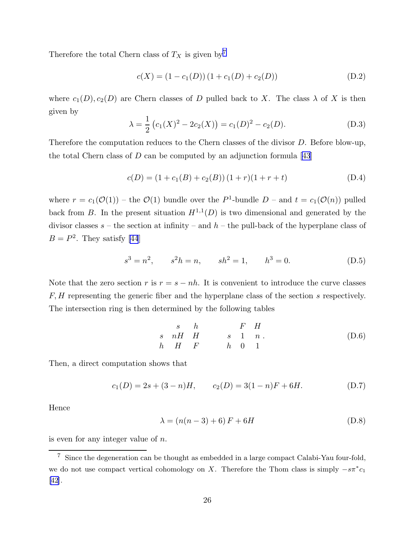Therefore the total Chern class of  $T_X$  is given by<sup>7</sup>

$$
c(X) = (1 - c_1(D))(1 + c_1(D) + c_2(D))
$$
 (D.2)

where  $c_1(D), c_2(D)$  are Chern classes of D pulled back to X. The class  $\lambda$  of X is then given by

$$
\lambda = \frac{1}{2} (c_1(X)^2 - 2c_2(X)) = c_1(D)^2 - c_2(D). \tag{D.3}
$$

Therefore the computation reduces to the Chern classes of the divisor D. Before blow-up, the total Chern class of D can be computed by an adjunction formula  $[43]$ 

$$
c(D) = (1 + c1(B) + c2(B))(1+r)(1+r+t)
$$
 (D.4)

where  $r = c_1(\mathcal{O}(1))$  – the  $\mathcal{O}(1)$  bundle over the P<sup>1</sup>-bundle D – and  $t = c_1(\mathcal{O}(n))$  pulled back from B. In the present situation  $H^{1,1}(D)$  is two dimensional and generated by the divisor classes  $s$  – the section at infinity – and  $h$  – the pull-back of the hyperplane class of  $B = P<sup>2</sup>$ . They satisfy [\[44](#page-31-0)]

$$
s3 = n2, \t s2h = n, \t sh2 = 1, \t h3 = 0.
$$
 (D.5)

Note that the zero section r is  $r = s - nh$ . It is convenient to introduce the curve classes F, H representing the generic fiber and the hyperplane class of the section s respectively. The intersection ring is then determined by the following tables

$$
\begin{array}{ccccccccc}\ns & h & & F & H \\
s & nH & H & & s & 1 & n \\
h & H & F & & h & 0 & 1\n\end{array} \tag{D.6}
$$

Then, a direct computation shows that

$$
c_1(D) = 2s + (3 - n)H, \qquad c_2(D) = 3(1 - n)F + 6H. \tag{D.7}
$$

Hence

$$
\lambda = (n(n-3) + 6)F + 6H
$$
 (D.8)

is even for any integer value of  $n$ .

<sup>7</sup> Since the degeneration can be thought as embedded in a large compact Calabi-Yau four-fold, we do not use compact vertical cohomology on X. Therefore the Thom class is simply  $-s\pi^*c_1$ [\[42](#page-31-0)].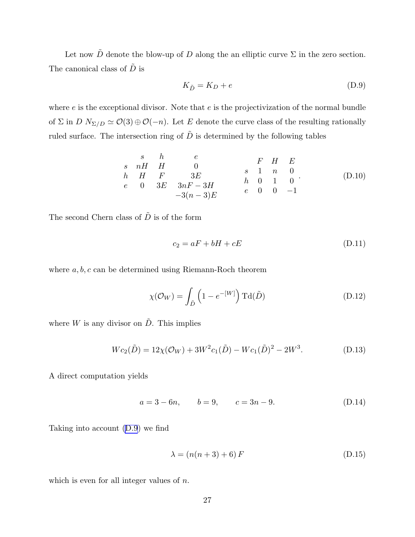Let now  $\tilde{D}$  denote the blow-up of D along the an elliptic curve  $\Sigma$  in the zero section. The canonical class of  $\tilde{D}$  is

$$
K_{\tilde{D}} = K_D + e \tag{D.9}
$$

where  $e$  is the exceptional divisor. Note that  $e$  is the projectivization of the normal bundle of  $\Sigma$  in  $D N_{\Sigma/D} \simeq \mathcal{O}(3) \oplus \mathcal{O}(-n)$ . Let E denote the curve class of the resulting rationally ruled surface. The intersection ring of  $\tilde{D}$  is determined by the following tables

$$
\begin{array}{ccccccccc}\ns & h & e & & F & H & E \\
s & nH & H & 0 & & s & 1 & n & 0 \\
h & H & F & 3E & & h & 0 & 1 & 0 \\
e & 0 & 3E & 3nF-3H & & h & 0 & 1 & 0 \\
-3(n-3)E & & & e & 0 & 0 & -1\n\end{array} (D.10)
$$

The second Chern class of  $\tilde{D}$  is of the form

$$
c_2 = aF + bH + cE \tag{D.11}
$$

where  $a, b, c$  can be determined using Riemann-Roch theorem

$$
\chi(\mathcal{O}_W) = \int_{\tilde{D}} \left( 1 - e^{-[W]} \right) \mathrm{Td}(\tilde{D}) \tag{D.12}
$$

where W is any divisor on  $\tilde{D}$ . This implies

$$
Wc_2(\tilde{D}) = 12\chi(\mathcal{O}_W) + 3W^2c_1(\tilde{D}) - Wc_1(\tilde{D})^2 - 2W^3.
$$
 (D.13)

A direct computation yields

$$
a = 3 - 6n, \qquad b = 9, \qquad c = 3n - 9. \tag{D.14}
$$

Taking into account (D.9) we find

$$
\lambda = (n(n+3) + 6) F \tag{D.15}
$$

which is even for all integer values of  $n$ .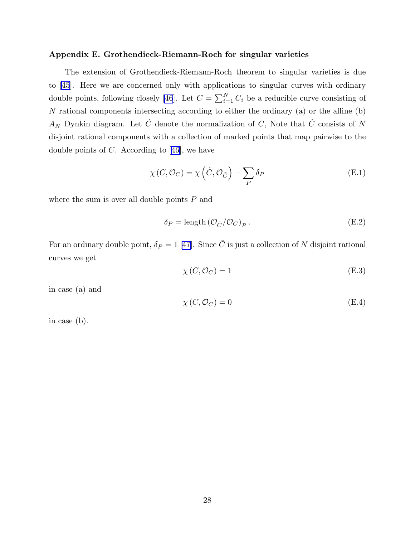# Appendix E. Grothendieck-Riemann-Roch for singular varieties

The extension of Grothendieck-Riemann-Roch theorem to singular varieties is due to [\[45](#page-31-0)]. Here we are concerned only with applications to singular curves with ordinary double points, following closely [\[46](#page-31-0)]. Let  $C = \sum_{i=1}^{N} C_i$  be a reducible curve consisting of N rational components intersecting according to either the ordinary (a) or the affine (b)  $A_N$  Dynkin diagram. Let  $\tilde{C}$  denote the normalization of C, Note that  $\tilde{C}$  consists of N disjoint rational components with a collection of marked points that map pairwise to the doublepoints of  $C$ . According to [[46\]](#page-31-0), we have

$$
\chi(C, \mathcal{O}_C) = \chi\left(\tilde{C}, \mathcal{O}_{\tilde{C}}\right) - \sum_P \delta_P
$$
\n(E.1)

where the sum is over all double points  $P$  and

$$
\delta_P = \text{length} \left( \mathcal{O}_{\tilde{C}} / \mathcal{O}_C \right)_P. \tag{E.2}
$$

Foran ordinary double point,  $\delta_P = 1$  [[47](#page-31-0)]. Since  $\tilde{C}$  is just a collection of N disjoint rational curves we get

$$
\chi(C, \mathcal{O}_C) = 1\tag{E.3}
$$

in case (a) and

$$
\chi(C, \mathcal{O}_C) = 0 \tag{E.4}
$$

in case (b).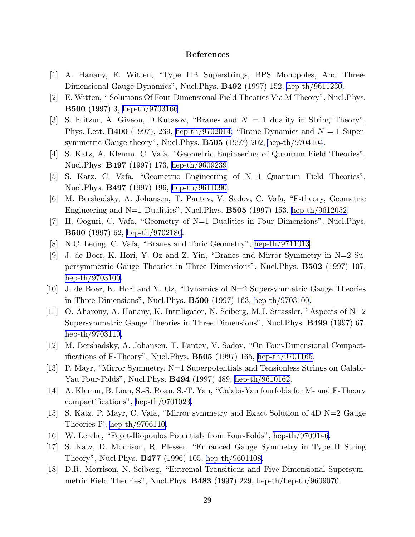# References

- <span id="page-29-0"></span>[1] A. Hanany, E. Witten, "Type IIB Superstrings, BPS Monopoles, And Three-Dimensional Gauge Dynamics", Nucl.Phys. B492 (1997) 152, [hep-th/9611230](http://arxiv.org/abs/hep-th/9611230).
- [2] E. Witten, " Solutions Of Four-Dimensional Field Theories Via M Theory", Nucl.Phys. B500 (1997) 3, [hep-th/9703166](http://arxiv.org/abs/hep-th/9703166).
- [3] S. Elitzur, A. Giveon, D.Kutasov, "Branes and  $N = 1$  duality in String Theory", Phys. Lett. **B400** (1997), 269, [hep-th/9702014;](http://arxiv.org/abs/hep-th/9702014) "Brane Dynamics and  $N = 1$  Supersymmetric Gauge theory", Nucl.Phys. B505 (1997) 202, [hep-th/9704104](http://arxiv.org/abs/hep-th/9704104).
- [4] S. Katz, A. Klemm, C. Vafa, "Geometric Engineering of Quantum Field Theories", Nucl.Phys. B497 (1997) 173, [hep-th/9609239.](http://arxiv.org/abs/hep-th/9609239)
- [5] S. Katz, C. Vafa, "Geometric Engineering of N=1 Quantum Field Theories", Nucl.Phys. B497 (1997) 196, [hep-th/9611090.](http://arxiv.org/abs/hep-th/9611090)
- [6] M. Bershadsky, A. Johansen, T. Pantev, V. Sadov, C. Vafa, "F-theory, Geometric Engineering and N=1 Dualities", Nucl. Phys. **B505** (1997) 153, [hep-th/9612052.](http://arxiv.org/abs/hep-th/9612052)
- [7] H. Ooguri, C. Vafa, "Geometry of N=1 Dualities in Four Dimensions", Nucl.Phys. B500 (1997) 62, [hep-th/9702180](http://arxiv.org/abs/hep-th/9702180).
- [8] N.C. Leung, C. Vafa, "Branes and Toric Geometry", [hep-th/9711013.](http://arxiv.org/abs/hep-th/9711013)
- [9] J. de Boer, K. Hori, Y. Oz and Z. Yin, "Branes and Mirror Symmetry in N=2 Supersymmetric Gauge Theories in Three Dimensions", Nucl.Phys. B502 (1997) 107, [hep-th/9703100.](http://arxiv.org/abs/hep-th/9703100)
- [10] J. de Boer, K. Hori and Y. Oz, "Dynamics of N=2 Supersymmetric Gauge Theories in Three Dimensions", Nucl.Phys. B500 (1997) 163, [hep-th/9703100](http://arxiv.org/abs/hep-th/9703100).
- [11] O. Aharony, A. Hanany, K. Intriligator, N. Seiberg, M.J. Strassler, "Aspects of  $N=2$ Supersymmetric Gauge Theories in Three Dimensions", Nucl.Phys. B499 (1997) 67, [hep-th/9703110.](http://arxiv.org/abs/hep-th/9703110)
- [12] M. Bershadsky, A. Johansen, T. Pantev, V. Sadov, "On Four-Dimensional Compactifications of F-Theory", Nucl.Phys. B505 (1997) 165, [hep-th/9701165.](http://arxiv.org/abs/hep-th/9701165)
- [13] P. Mayr, "Mirror Symmetry, N=1 Superpotentials and Tensionless Strings on Calabi-Yau Four-Folds", Nucl.Phys. B494 (1997) 489, [hep-th/9610162](http://arxiv.org/abs/hep-th/9610162).
- [14] A. Klemm, B. Lian, S.-S. Roan, S.-T. Yau, "Calabi-Yau fourfolds for M- and F-Theory compactifications", [hep-th/9701023](http://arxiv.org/abs/hep-th/9701023).
- [15] S. Katz, P. Mayr, C. Vafa, "Mirror symmetry and Exact Solution of 4D N=2 Gauge Theories I", [hep-th/9706110.](http://arxiv.org/abs/hep-th/9706110)
- [16] W. Lerche, "Fayet-Iliopoulos Potentials from Four-Folds", [hep-th/9709146.](http://arxiv.org/abs/hep-th/9709146)
- [17] S. Katz, D. Morrison, R. Plesser, "Enhanced Gauge Symmetry in Type II String Theory", Nucl.Phys. B477 (1996) 105, [hep-th/9601108.](http://arxiv.org/abs/hep-th/9601108)
- [18] D.R. Morrison, N. Seiberg, "Extremal Transitions and Five-Dimensional Supersymmetric Field Theories", Nucl.Phys.  $B483$  (1997) 229, hep-th/hep-th/9609070.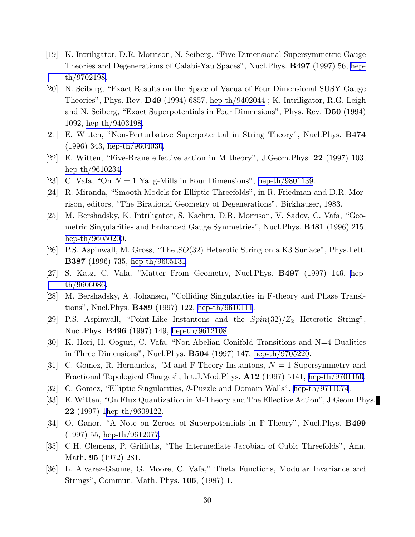- <span id="page-30-0"></span>[19] K. Intriligator, D.R. Morrison, N. Seiberg, "Five-Dimensional Supersymmetric Gauge Theories and Degenerations of Calabi-Yau Spaces", Nucl.Phys. B497 (1997) 56, [hep](http://arxiv.org/abs/hep-th/9702198)[th/9702198](http://arxiv.org/abs/hep-th/9702198).
- [20] N. Seiberg, "Exact Results on the Space of Vacua of Four Dimensional SUSY Gauge Theories", Phys. Rev. D49 (1994) 6857, [hep-th/9402044](http://arxiv.org/abs/hep-th/9402044) ; K. Intriligator, R.G. Leigh and N. Seiberg, "Exact Superpotentials in Four Dimensions", Phys. Rev. D50 (1994) 1092, [hep-th/9403198.](http://arxiv.org/abs/hep-th/9403198)
- [21] E. Witten, "Non-Perturbative Superpotential in String Theory", Nucl.Phys. B474 (1996) 343, [hep-th/9604030](http://arxiv.org/abs/hep-th/9604030).
- [22] E. Witten, "Five-Brane effective action in M theory", J.Geom.Phys. 22 (1997) 103, [hep-th/9610234.](http://arxiv.org/abs/hep-th/9610234)
- [23] C. Vafa, "On  $N = 1$  Yang-Mills in Four Dimensions", [hep-th/9801139](http://arxiv.org/abs/hep-th/9801139).
- [24] R. Miranda, "Smooth Models for Elliptic Threefolds", in R. Friedman and D.R. Morrison, editors, "The Birational Geometry of Degenerations", Birkhauser, 1983.
- [25] M. Bershadsky, K. Intriligator, S. Kachru, D.R. Morrison, V. Sadov, C. Vafa, "Geometric Singularities and Enhanced Gauge Symmetries", Nucl. Phys. **B481** (1996) 215, [hep-th/96050200](http://arxiv.org/abs/hep-th/9605020).
- [26] P.S. Aspinwall, M. Gross, "The  $SO(32)$  Heterotic String on a K3 Surface", Phys.Lett. B387 (1996) 735, [hep-th/9605131](http://arxiv.org/abs/hep-th/9605131).
- [27] S. Katz, C. Vafa, "Matter From Geometry, Nucl.Phys. B497 (1997) 146, [hep](http://arxiv.org/abs/hep-th/9606086)[th/9606086](http://arxiv.org/abs/hep-th/9606086).
- [28] M. Bershadsky, A. Johansen, "Colliding Singularities in F-theory and Phase Transitions", Nucl.Phys. B489 (1997) 122, [hep-th/9610111](http://arxiv.org/abs/hep-th/9610111).
- [29] P.S. Aspinwall, "Point-Like Instantons and the  $Spin(32)/Z_2$  Heterotic String", Nucl.Phys. B496 (1997) 149, [hep-th/9612108.](http://arxiv.org/abs/hep-th/9612108)
- [30] K. Hori, H. Ooguri, C. Vafa, "Non-Abelian Conifold Transitions and N=4 Dualities in Three Dimensions", Nucl.Phys. B504 (1997) 147, [hep-th/9705220](http://arxiv.org/abs/hep-th/9705220).
- [31] C. Gomez, R. Hernandez, "M and F-Theory Instantons,  $N = 1$  Supersymmetry and Fractional Topological Charges", Int.J.Mod.Phys. A12 (1997) 5141, [hep-th/9701150.](http://arxiv.org/abs/hep-th/9701150)
- [32] C. Gomez, "Elliptic Singularities, θ-Puzzle and Domain Walls", [hep-th/9711074.](http://arxiv.org/abs/hep-th/9711074)
- [33] E. Witten, "On Flux Quantization in M-Theory and The Effective Action", J.Geom.Phys. 22 (1997)1[hep-th/9609122.](http://arxiv.org/abs/hep-th/9609122)
- [34] O. Ganor, "A Note on Zeroes of Superpotentials in F-Theory", Nucl.Phys. B499 (1997) 55, [hep-th/9612077](http://arxiv.org/abs/hep-th/9612077).
- [35] C.H. Clemens, P. Griffiths, "The Intermediate Jacobian of Cubic Threefolds", Ann. Math. 95 (1972) 281.
- [36] L. Alvarez-Gaume, G. Moore, C. Vafa," Theta Functions, Modular Invariance and Strings", Commun. Math. Phys. 106, (1987) 1.